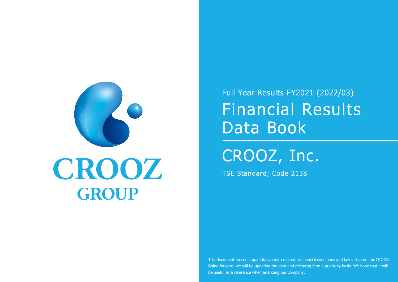

## CROOZ GROUP

TSE Standard; Code 2138

Full Year Results FY2021 (2022/03) Financial Results Data Book

CROOZ, Inc.

This document presents quantitative data related to financial conditions and key indicators for CROOZ. Going forward, we will be updating the data and releasing it on a quarterly basis. We hope that it will be useful as a reference when analyzing our company.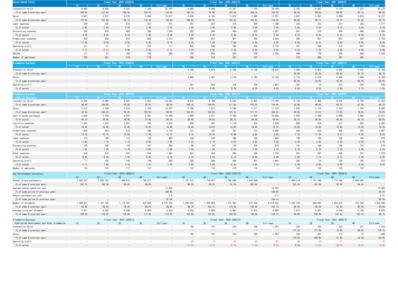| <b>Consolidated Totals</b>  |         |         |        | Fiscal Year: 2020 (2021/3) |           |        | Fiscal Year: 2021 (2022/3) |         |        |           |       |       |       |        |           |
|-----------------------------|---------|---------|--------|----------------------------|-----------|--------|----------------------------|---------|--------|-----------|-------|-------|-------|--------|-----------|
|                             |         | 20.     | 30     | 40. .                      | Full-year |        |                            |         |        | Full-year |       | 20 -  | 30.   | 40.    | Full-year |
| Transaction Value           | 8,495   | 9,828   | 9,553  | 7,309                      | 35, 187   | 8,694  | 8,948                      | 10, 297 | 7,759  | 35, 700   | 8,342 | 8,002 | 8,710 | 7, 223 | 32, 278   |
| (% of same Q previous year) | 106.3%  | 127.6%  | 104.9% | 104.1%                     | 110.6%    | 102.3% | 91.0%                      | 107.8%  | 106.2% | 101.5%    | 95.9% | 89.4% | 84.6% | 93.1%  | 90.4%     |
| Sales                       | 3,681   | 3,937   | 4, 145 | 3,844                      | 15,611    | 4,044  | 4, 165                     | 5,079   | 3,960  | 17, 251   | 3,997 | 3,963 | 3,898 | 3,618  | 15, 477   |
| (% of same Q previous year) | 87.0%   | 107.5%  | 94.1%  | 113.2%                     | 99.5%     | 109.9% | 105.8%                     | 122.5%  | 103.0% | 110.5%    | 98.8% | 95.1% | 76.7% | 91.4%  | 89.7%     |
| Labor expenses              | 239     | 225     | 216    | 231                        | 911       | 261    | 267                        | 314     | 346    | 1,188     | 323   | 333   | 357   | 363    | 1,377     |
| % of sales)                 | 2.9%    | 2.4%    | 2.3%   | 3.3%                       | 2.7%      | 3.0%   | 3.0%                       | 3.0%    | 4.5%   | 3.3%      | 3.9%  | 4.2%  | 4.1%  | 5.0%   | 4.3%      |
| Outsourcing expenses        | 350     | 410     | 404    | 396                        | 1,559     | 382    | 388                        | 560     | 625    | 1,957     | 561   | 518   | 450   | 496    | 2,028     |
| % of sales)                 | 4.3%    | 4.3%    | 4.3%   | 5.6%                       | 4.6%      | 4.4%   | 4.3%                       | 5.4%    | 8.1%   | 5.5%      | 6.7%  | 6.5%  | 5.2%  | 6.9%   | 6.3%      |
| Promotional expenses        | 930     | 836     | 912    | 636                        | 3,313     | 550    | 697                        | 801     | 385    | 2,434     | 446   | 651   | 697   | 329    | 2, 124    |
| (% of sales)                | 11.4%   | 8.8%    | 9.8%   | 9.0%                       | 9.7%      | 6.3%   | 7.8%                       | 7.8%    | 5.0%   | 6.8%      | 5.4%  | 8.1%  | 8.0%  | 4.6%   | 6.6%      |
| Operating profit            | $-347$  | $-41$   | 37     | 253                        | $-97$     | 625    | 538                        | 750     | 220    | 2.134     | 431   | 106   | 213   | 487    | ,238      |
| (% of sales)                | $-4.3%$ | $-0.4%$ | 0.4%   | 3.6%                       | $-0.3%$   | 7.2%   | 6.0%                       | 7.3%    | 2.8%   | 6.0%      | 5.2%  | 1.3%  | 2.4%  | 6.8%   | 3.8%      |
| EBITDA                      | $-221$  | 87      | 164    | 370                        | 399       | 725    | 604                        | 835     | 578    | 2,743     | 498   | 176   | 284   | 568    | 1,528     |
| Number of employees         | 303     | 291     | 279    | 278                        | $-1$      | 299    | 314                        | 333     | 337    | $-$       | 372   | 368   | 387   | 389    |           |

| E-commerce Business         | Fiscal Year: 2019 (2020/3) |  |  |     |  |  | Fiscal Year: 2020 (2021/3) |       |       |       |       |        |                       | Fiscal Year: 2021 (2022/3) |       |       |       |           |
|-----------------------------|----------------------------|--|--|-----|--|--|----------------------------|-------|-------|-------|-------|--------|-----------------------|----------------------------|-------|-------|-------|-----------|
|                             |                            |  |  |     |  |  | ull-vear                   |       |       |       |       |        | <b>Auditorization</b> |                            |       |       |       | Full-year |
| Transaction Value           |                            |  |  |     |  |  |                            |       | 6,766 | 6,972 | 8,368 | 6, 128 | 28, 235               | 6,483                      | 5,803 | 5,930 | 4,972 | 24, 189   |
| (% of same Q previous year) |                            |  |  | $-$ |  |  |                            |       |       |       |       |        |                       | 95.8%                      | 83.2% | 82.8% | 81.1% | 85.7%     |
| Sales                       |                            |  |  |     |  |  |                            | 2,900 |       | 3,001 | 3,574 | 2.703  | 12, 180               | 2.773                      | 2.474 | 2.696 | 1,844 | 9,789     |
| (% of same Q previous year) |                            |  |  | $-$ |  |  |                            |       |       | $-$   |       |        |                       | 95.6%                      | 82.4% | 75.4% | 68.2% | 80.4%     |
| Operating profit            |                            |  |  |     |  |  |                            |       | 551   | 443   | 474   |        | 1.847                 | 387                        |       | 251   | 184   | 839       |
| $%$ of sales)               |                            |  |  |     |  |  |                            |       | 8.1%  | 6.4%  | 5.7%  | 6.2%   | 6.5%                  | 6.0%                       | 0.3%  | 3.6%  | 3.7%  | 3.5%      |

| commerce Business           |         |        | Fiscal Year: 2019 (2020/3) |        |           |        |        | Fiscal Year: 2020 (2021/3) |        |                          | Fiscal Year: 2021 (2022/3) |        |       |       |           |
|-----------------------------|---------|--------|----------------------------|--------|-----------|--------|--------|----------------------------|--------|--------------------------|----------------------------|--------|-------|-------|-----------|
| (SHOPLIST Business)         |         |        |                            |        | Full-vear |        |        |                            |        | Full-vear                |                            |        |       |       | Full-year |
| Transaction Value           | 6,239   | 6,490  | 6,831                      | 5,022  | 24, 583   | 6,572  | 6,784  | 8,033                      | 5,802  | 27.194                   | 6,139                      | 5,469  | 6,676 | 4,750 | 23,036    |
| (% of same Q previous year) | 98.4%   | 104.9% | 93.8%                      | 97.5%  | 98.5%     | 105.3% | 104.5% | 117.6%                     | 115.5% | 110.6%                   | 93.4%                      | 80.6%  | 83.1% | 81.9% | 84.7%     |
| Sales                       | 2,612   | 2,706  | 2.810                      | 2.128  | 10, 257   | 2,706  | 2,813  | 3, 240                     | 2,377  | 11.138                   | 2.435                      | 2, 172 | 2,523 | 1,769 | 8,900     |
| (% of same Q previous year) | 92.6%   | 106.3% | 95.4%                      | 102.9% | 98.8%     | 103.6% | 104.0% | 115.3%                     | 111.7% | 108.6%                   | 90.0%                      | 77.2%  | 77.9% | 74.4% | 79.9%     |
| Cost of goods purchased     | 3,626   | 3.788  | 4.025                      | 2.901  | 14.340    | 3,866  | 3,971  | 4,793                      | 3.424  | 16.055                   | 3.628                      | 3.246  | 4,059 | 2,882 | 13, 817   |
| % of sales)                 | 58.1%   | 58.4%  | 58.9%                      | 57.8%  | 58.3%     | 58.8%  | 58.5%  | 59.7%                      | 59.0%  | 59.0%                    | 59.1%                      | 59.4%  | 60.8% | 60.7% | 60.0%     |
| Logistics expenses          | 1,032   | 1,023  | 1,051                      | 766    | 3,872     | 938    | 987    | 1, 119                     | 833    | 3,879                    | 906                        | 819    | 871   | 662   | 3,260     |
| (% of sales)                | 16.5%   | 15.8%  | 15.4%                      | 15.3%  | 15.8%     | 14.3%  | 14.5%  | 13.9%                      | 14.4%  | 14.3%                    | 14.8%                      | 15.0%  | 13.0% | 13.9% | 14.2%     |
| Promotional expenses        | 830     | 823    | 873                        | 584    | 3, 110    | 531    | 702    | 791                        | 373    | 2,400                    | 450                        | 626    | 605   | 263   | 1,947     |
| $%$ of sales)               | 13.3%   | 12.7%  | 12.8%                      | 11.6%  | 12.7%     | 8.1%   | 10.3%  | 9.8%                       | 6.4%   | 8.8%                     | 7.3%                       | 11.5%  | 9.1%  | 5.5%  | 8.5%      |
| Labor expenses              | 112     | 108    | 115                        | 130    | 465       | 144    | 140    | 160                        | 164    | 609                      | 138                        | 156    | 159   | 164   | 619       |
| (% of sales)                | 1.8%    | 1.7%   | 1.7%                       | 2.6%   | 1.9%      | 2.2%   | 2.1%   | 2.0%                       | 2.8%   | 2.2%                     | 2.3%                       | 2.9%   | 2.4%  | 3.5%  | 2.7%      |
| Outsourcing expenses        | 120     | 106    | 116                        | 101    | 442       | 98     | 94     | 175                        | 205    | 574                      | 141                        | 146    | 149   | 141   | 578       |
| (% of sales)                | 1.9%    | 1.6%   | 1.7%                       | 2.0%   | 1.8%      | 1.5%   | 1.4%   | 2.2%                       | 3.5%   | 2.1%                     | 2.3%                       | 2.7%   | 2.2%  | 3.0%  | 2.5%      |
| Other expenses              | 534     | 516    | 507                        | 434    | 1,991     | 407    | 438    | 486                        | 398    | 1,730                    | 431                        | 387    | 408   | 351   | 1,579     |
| (% of sales)                | 8.6%    | 8.0%   | 7.4%                       | 8.6%   | 8.1%      | 6.2%   | 6.5%   | 6.1%                       | 6.9%   | 6.4%                     | 7.0%                       | 7.1%   | 6.1%  | 7.4%  | 6.9%      |
| Operating profit            | $-17$   | 126    | 144                        | 106    | 359       | 585    | 448    | 506                        | 401    | 1,942                    | 365                        | 34     | 329   | 185   | 915       |
| (% of sales)                | $-0.3%$ | 1.9%   | 2.1%                       | 2.1%   | 1.5%      | 8.9%   | 6.6%   | 6.3%                       | 6.9%   | 7.1%                     | 5.9%                       | 0.6%   | 4.9%  | 3.9%  | 4.0%      |
| Number of employees         | 116     | 119    | 117                        | 112    |           | 122    | 116    | 118                        | 116    | $\overline{\phantom{0}}$ | 132                        | 132    | 126   | 122   |           |

| Key Performance Indicators                    |                 |                          | Fiscal Year: 2019 (2020/3) |                          |                          |                            | Fiscal Year: 2020 (2021/3) |                 |                          | Fiscal Year: 2021 (2022/3) |                            |                          |                          |                          |             |
|-----------------------------------------------|-----------------|--------------------------|----------------------------|--------------------------|--------------------------|----------------------------|----------------------------|-----------------|--------------------------|----------------------------|----------------------------|--------------------------|--------------------------|--------------------------|-------------|
|                                               | 10 <sup>°</sup> | 20 <sub>2</sub>          | 30                         | 40                       | Full-year                | 10                         | 20 <sup>°</sup>            | 30 <sup>°</sup> | 40                       | Full-year                  | $10-10$                    | 20 <sup>°</sup>          | 30 <sub>°</sub>          | <b>40</b>                | Full-year   |
| Annual unique purchasers                      | 1, 862, 247     | , 882, 193               | .844.573                   | 1,799,517                | $\overline{\phantom{0}}$ | 1, 791, 537                | 1, 754, 821                | 1,788,989       | , 843, 309               | $-1$                       | 1, 849, 214                | 1, 781, 194              | 1, 715, 166              | 1, 644, 466              |             |
| (% of same Q previous year)                   | 107.7%          | 103.3%                   | 98.0%                      | 96.6%                    | $\overline{\phantom{0}}$ | 96.2%                      | 93.2%                      | 97.0%           | 102.4%                   | $\overline{\phantom{0}}$   | 103.2%                     | 101.5%                   | 95.9%                    | 89.2%                    |             |
| Average annual spend per user                 |                 |                          | $\overline{\phantom{0}}$   | $-1$                     | 13.459                   | $\overline{a}$             | $\overline{\phantom{0}}$   |                 |                          | 14, 753                    | $-$                        | $\overline{\phantom{0}}$ | $\overline{\phantom{a}}$ | $\overline{a}$           | 14,009      |
| (% of same period of previous year)           |                 | $-$                      | $\overline{\phantom{a}}$   | $-$                      | 100.4%                   | $-$                        | $\overline{\phantom{0}}$   |                 | $-$                      | 109.6%                     | $\overline{\phantom{a}}$   | -                        | $-1$                     | $\overline{a}$           | 95.0%       |
| Annual purchases per user                     |                 |                          | $\overline{\phantom{0}}$   | $\sim$ 1.                | 2.4                      | $-1$                       |                            |                 |                          | 2.5                        | $\overline{\phantom{0}}$   | $-$                      | $\overline{\phantom{0}}$ | $\qquad \qquad =$        | 2.41        |
| (% of same period of previous year)           |                 | $\overline{\phantom{a}}$ | $\overline{\phantom{a}}$   | $\overline{\phantom{0}}$ | 91.0%                    | $-1$                       |                            |                 |                          | 104.1%                     | $\overline{\phantom{a}}$   |                          | $\overline{\phantom{a}}$ | $\overline{\phantom{m}}$ | 95.3%       |
| Number of shipments                           | 1,098,951       | l, 181, 109              | , 112, 507                 | 822, 809                 | 4, 215, 376              | 1, 062, 655                | 1, 205, 428                | 1, 272, 893     | 973, 356                 | 4, 514, 332                | 1,043,370                  | 968, 342                 | 1, 033, 872              | 787, 364                 | 3, 832, 948 |
| (% of same Q previous year)                   | 92.8%           | 89.9%                    | 79.5%                      | 80.2%                    | 85.6%                    | 96.7%                      | 102.1%                     | 114.4%          | 118.3%                   | 107.1%                     | 98.2%                      | 80.3%                    | 81.2%                    | 80.9%                    | 84.9%       |
| Average value per shipment                    | 5,811           | 5,562                    | 6, 244                     | 6,093                    | 5,910                    | 6, 252                     | 5,669                      | 6,461           | 5,972                    | 6,095                      | 5,912                      | 5,691                    | 6,548                    | 6, 158                   | 6,078       |
| (% of same Q previous year)                   | 106.0%          | 115.5%                   | 116.8%                     | 117.9%                   | 113.6%                   | 107.6%                     | 101.9%                     | 103.5%          | 98.0%                    | 103.1%                     | 94.6%                      | 100.4%                   | 101.4%                   | 103.1%                   | 99.7%       |
| E-commerce Business                           |                 |                          | Fiscal Year: 2019 (2020/3) |                          |                          | Fiscal Year: 2020 (2021/3) |                            |                 |                          |                            | Fiscal Year: 2021 (2022/3) |                          |                          |                          |             |
| (Contracted development and other e-commerce- | 10 <sup>°</sup> | 20                       | <b>30</b>                  | 40                       | Full-year                | 10                         | 20                         | 30 <sub>o</sub> | 40                       | Full-year                  | 10                         | 20 <sub>2</sub>          | 30 <sub>°</sub>          | 4Q                       | Full-year   |
| Transaction Value                             |                 |                          |                            |                          |                          | 194                        | 187                        | 334             | 326                      | 1.041                      | 343                        | 333                      | 253                      | 221                      | 1, 152      |
| (% of same Q previous year)                   |                 |                          | $\overline{\phantom{0}}$   |                          |                          | $-$                        | $\overline{\phantom{0}}$   | $\sim$          | $\overline{\phantom{0}}$ | $\overline{\phantom{0}}$   | 177.3%                     | 177.8%                   | 75.9%                    | 68.0%                    | 110.7%      |
| Sales                                         |                 | $\overline{\phantom{0}}$ | $\overline{\phantom{0}}$   | $-$                      | $\overline{\phantom{0}}$ | 194                        | 187                        | 334             | 326                      | 1.041                      | 338                        | 301                      | 173                      | 75                       | 889         |
| (% of same Q previous year)                   |                 |                          | $\overline{\phantom{a}}$   | $\overline{\phantom{0}}$ | $\overline{\phantom{0}}$ | $-$                        | $\overline{\phantom{0}}$   | $-$             | $\overline{\phantom{0}}$ | $-$                        | 174.6%                     | 160.8%                   | 51.9%                    | 23.2%                    | 85.4%       |
| Operating profit                              |                 |                          |                            |                          |                          | $-34$                      | $-5$                       | $-32$           | $-22$                    | $-95$                      | 22                         | $-19$                    | $-77$                    | $-1$                     | $-75$       |
| (% of sales)                                  |                 |                          |                            |                          | $-1$                     | $-17.8%$                   | $-3.1%$                    | $-9.7%$         | $-7.0%$                  | $-9.2%$                    | 6.5%                       | $-5.8%$                  | $-30.6%$                 | $-0.5%$                  | $-6.6%$     |

|    |       | Fiscal Year: 2021 (2 <u>022/3)</u> |        |           |
|----|-------|------------------------------------|--------|-----------|
| 20 |       | 30                                 | 40     | Full-year |
|    | 8,002 | 8,710                              | 7, 223 | 32, 278   |
|    | 89.4% | 84.6%                              | 93.1%  | 90.4%     |
|    | 3,963 | 3,898                              | 3,618  | 15, 477   |
|    | 95.1% | 76.7%                              | 91.4%  | 89.7%     |
|    | 333   | 357                                | 363    | 1,377     |
|    | 4.2%  | 4.1%                               | 5.0%   | 4.3%      |
|    | 518   | 450                                | 496    | 2,028     |
|    | 6.5%  | 5.2%                               | 6.9%   | 6.3%      |
|    | 651   | 697                                | 329    | 2, 124    |
|    | 8.1%  | 8.0%                               | 4.6%   | 6.6%      |
|    | 106   | 213                                | 487    | 1,238     |
|    | 1.3%  | 2.4%                               | 6.8%   | 3.8%      |
|    | 176   | 284                                | 568    | 1,528     |
|    | 368   | 387                                | 389    |           |
|    |       |                                    |        |           |

|       | Fiscal Year: 2021 (2022/3) |       |           |
|-------|----------------------------|-------|-----------|
| 20    | 30                         | 40    | Full-year |
| 5.803 | 6.930                      | 4,972 | 24, 189   |
| 83.2% | 82.8%                      | 81.1% | 85.7%     |
| 2.474 | 2.696                      | 1.844 | 9.789     |
| 82.4% | 75.4%                      | 68.2% | 80.4%     |
|       | 15<br>251                  | 184   | 839       |
| 0.3%  | 3.6%                       | 3.7%  | 3.5%      |
|       |                            |       |           |

|        | Fiscal Year: 2021 (2022/3) |       |           |
|--------|----------------------------|-------|-----------|
| 20     | 30                         | 40    | Full-year |
| 5,469  | 6,676                      | 4,750 | 23,036    |
| 80.6%  | 83.1%                      | 81.9% | 84.7%     |
| 2, 172 | 2,523                      | 1,769 | 8,900     |
| 77.2%  | 77.9%                      | 74.4% | 79.9%     |
| 3,246  | 4,059                      | 2,882 | 13, 817   |
| 59.4%  | 60.8%                      | 60.7% | 60.0%     |
| 819    | 871                        | 662   | 3,260     |
| 15.0%  | 13.0%                      | 13.9% | 14.2%     |
| 626    | 605                        | 263   | 1,947     |
| 11.5%  | 9.1%                       | 5.5%  | 8.5%      |
| 156    | 159                        | 164   | 619       |
| 2.9%   | 2.4%                       | 3.5%  | 2.7%      |
| 146    | 149                        | 141   | 578       |
| 2.7%   | 2.2%                       | 3.0%  | 2.5%      |
| 387    | 408                        | 351   | 1,579     |
| 7.1%   | 6.1%                       | 7.4%  | 6.9%      |
| 34     | 329                        | 185   | 915       |
| 0.6%   | 4.9%                       | 3.9%  | 4.0%      |
| 132    | 126                        | 122   |           |
|        |                            |       |           |

|             | Fiscal Year: 2021 (2022/3) |             |             |
|-------------|----------------------------|-------------|-------------|
| 20          | 30                         | 40          | Full-year   |
| 1, 781, 194 | 1, 715, 166                | 1, 644, 466 |             |
| 101.5%      | 95.9%                      | 89.2%       |             |
|             |                            |             | 14,009      |
|             |                            |             | 95.0%       |
|             |                            |             | 2.41        |
|             |                            |             | 95.3%       |
| 968, 342    | 1, 033, 872                | 787, 364    | 3, 832, 948 |
| 80.3%       | 81.2%                      | 80.9%       | 84.9%       |
| 5,691       | 6,548                      | 6.158       | 6,078       |
| 100.4%      | 101.4%                     | 103.1%      | 99.7%       |

|         | Fiscal Year: 2021 (2022/3) |         |           |
|---------|----------------------------|---------|-----------|
| 20      | 30                         | 4Q      | Full-year |
| 333     | 253                        | 221     | 1, 152    |
| 177.8%  | 75.9%                      | 68.0%   | 110.7%    |
| 301     | 173                        | 75      | 889       |
| 160.8%  | 51.9%                      | 23.2%   | 85.4%     |
| $-19$   | $-77$                      | $-1$    | $-75$     |
| $-5.8%$ | $-30.6%$                   | $-0.5%$ | $-6.6%$   |